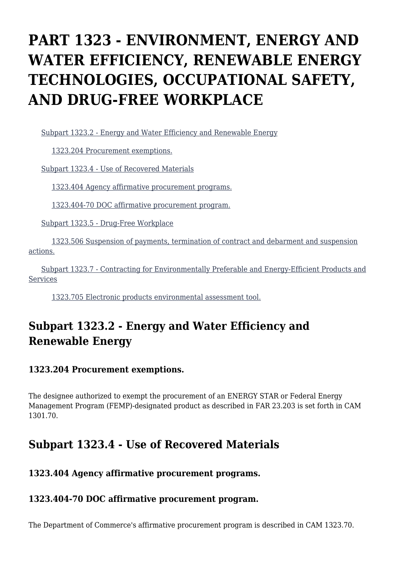# **PART 1323 - ENVIRONMENT, ENERGY AND WATER EFFICIENCY, RENEWABLE ENERGY TECHNOLOGIES, OCCUPATIONAL SAFETY, AND DRUG-FREE WORKPLACE**

[Subpart 1323.2 - Energy and Water Efficiency and Renewable Energy](https://login.acquisition.gov/%5Brp:link:car-part-1323%5D#Subpart_1323_2_T48_50646211)

[1323.204 Procurement exemptions.](https://login.acquisition.gov/%5Brp:link:car-part-1323%5D#Section_1323_204_T48_5064621111)

[Subpart 1323.4 - Use of Recovered Materials](https://login.acquisition.gov/%5Brp:link:car-part-1323%5D#Subpart_1323_4_T48_50646212)

[1323.404 Agency affirmative procurement programs.](https://login.acquisition.gov/%5Brp:link:car-part-1323%5D#Section_1323_404_T48_5064621211)

[1323.404-70 DOC affirmative procurement program.](https://login.acquisition.gov/%5Brp:link:car-part-1323%5D#Section_1323_404_70_T48_5064621212)

[Subpart 1323.5 - Drug-Free Workplace](https://login.acquisition.gov/%5Brp:link:car-part-1323%5D#Subpart_1323_5_T48_50646213)

 [1323.506 Suspension of payments, termination of contract and debarment and suspension](https://login.acquisition.gov/%5Brp:link:car-part-1323%5D#Section_1323_506_T48_5064621311) [actions.](https://login.acquisition.gov/%5Brp:link:car-part-1323%5D#Section_1323_506_T48_5064621311)

 [Subpart 1323.7 - Contracting for Environmentally Preferable and Energy-Efficient Products and](https://login.acquisition.gov/%5Brp:link:car-part-1323%5D#Subpart_1323_7_T48_50646214) [Services](https://login.acquisition.gov/%5Brp:link:car-part-1323%5D#Subpart_1323_7_T48_50646214)

[1323.705 Electronic products environmental assessment tool.](https://login.acquisition.gov/%5Brp:link:car-part-1323%5D#Section_1323_705_T48_5064621411)

# **Subpart 1323.2 - Energy and Water Efficiency and Renewable Energy**

### **1323.204 Procurement exemptions.**

The designee authorized to exempt the procurement of an ENERGY STAR or Federal Energy Management Program (FEMP)-designated product as described in FAR 23.203 is set forth in CAM 1301.70.

## **Subpart 1323.4 - Use of Recovered Materials**

### **1323.404 Agency affirmative procurement programs.**

### **1323.404-70 DOC affirmative procurement program.**

The Department of Commerce's affirmative procurement program is described in CAM 1323.70.